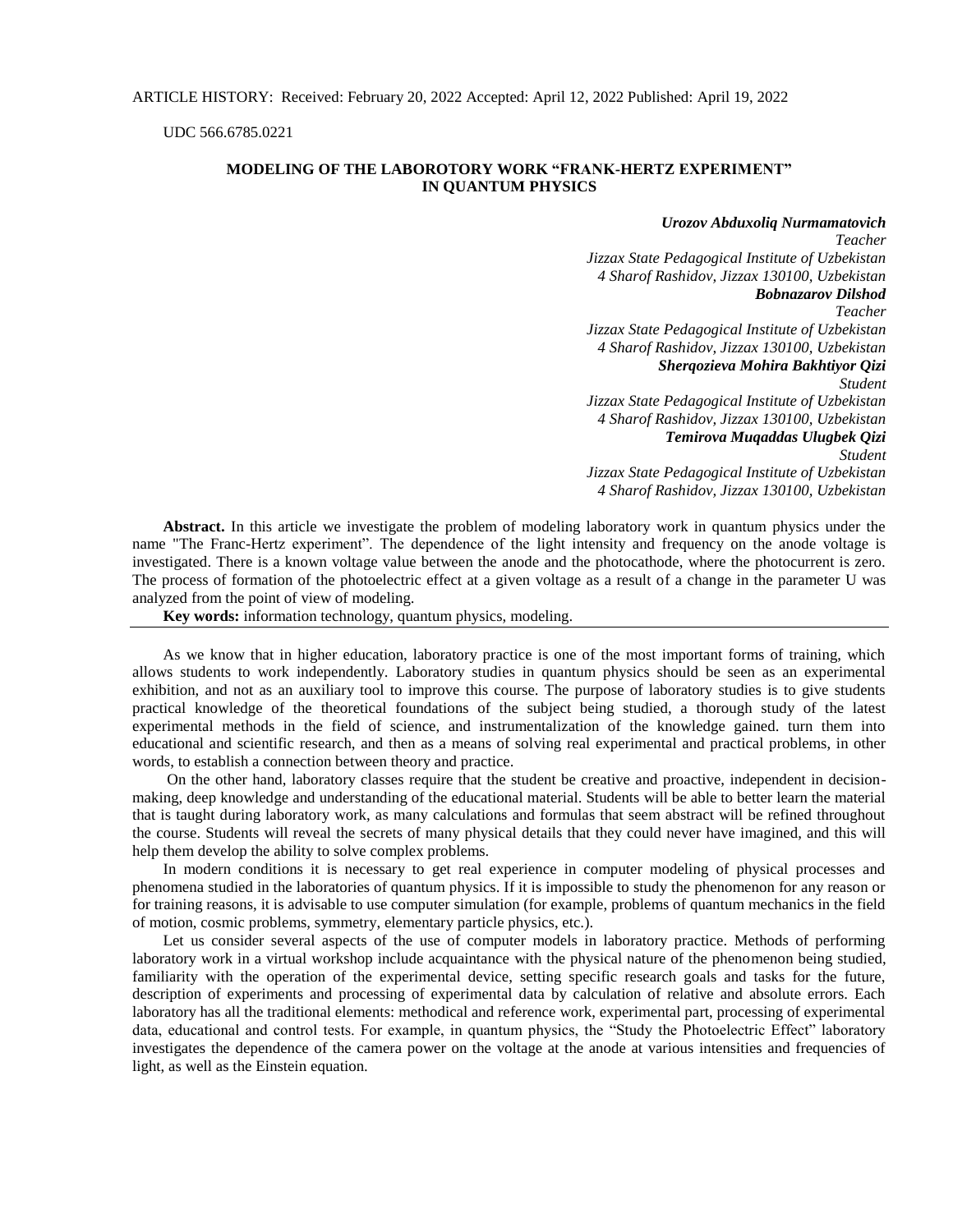UDC 566.6785.0221

## **MODELING OF THE LABOROTORY WORK "FRANK-HERTZ EXPERIMENT" IN QUANTUM PHYSICS**

## *Urozov Abduxoliq Nurmamatovich*

*Teacher Jizzax State Pedagogical Institute of Uzbekistan 4 Sharof Rashidov, Jizzax 130100, Uzbekistan Bobnazarov Dilshod Teacher Jizzax State Pedagogical Institute of Uzbekistan 4 Sharof Rashidov, Jizzax 130100, Uzbekistan Sherqozieva Mohira Bakhtiyor Qizi Student Jizzax State Pedagogical Institute of Uzbekistan 4 Sharof Rashidov, Jizzax 130100, Uzbekistan* 

*Temirova Muqaddas Ulugbek Qizi Student Jizzax State Pedagogical Institute of Uzbekistan 4 Sharof Rashidov, Jizzax 130100, Uzbekistan* 

**Abstract.** In this article we investigate the problem of modeling laboratory work in quantum physics under the name "The Franc-Hertz experiment". The dependence of the light intensity and frequency on the anode voltage is investigated. There is a known voltage value between the anode and the photocathode, where the photocurrent is zero. The process of formation of the photoelectric effect at a given voltage as a result of a change in the parameter U was analyzed from the point of view of modeling.

**Key words:** information technology, quantum physics, modeling.

As we know that in higher education, laboratory practice is one of the most important forms of training, which allows students to work independently. Laboratory studies in quantum physics should be seen as an experimental exhibition, and not as an auxiliary tool to improve this course. The purpose of laboratory studies is to give students practical knowledge of the theoretical foundations of the subject being studied, a thorough study of the latest experimental methods in the field of science, and instrumentalization of the knowledge gained. turn them into educational and scientific research, and then as a means of solving real experimental and practical problems, in other words, to establish a connection between theory and practice.

On the other hand, laboratory classes require that the student be creative and proactive, independent in decisionmaking, deep knowledge and understanding of the educational material. Students will be able to better learn the material that is taught during laboratory work, as many calculations and formulas that seem abstract will be refined throughout the course. Students will reveal the secrets of many physical details that they could never have imagined, and this will help them develop the ability to solve complex problems.

In modern conditions it is necessary to get real experience in computer modeling of physical processes and phenomena studied in the laboratories of quantum physics. If it is impossible to study the phenomenon for any reason or for training reasons, it is advisable to use computer simulation (for example, problems of quantum mechanics in the field of motion, cosmic problems, symmetry, elementary particle physics, etc.).

Let us consider several aspects of the use of computer models in laboratory practice. Methods of performing laboratory work in a virtual workshop include acquaintance with the physical nature of the phenomenon being studied, familiarity with the operation of the experimental device, setting specific research goals and tasks for the future, description of experiments and processing of experimental data by calculation of relative and absolute errors. Each laboratory has all the traditional elements: methodical and reference work, experimental part, processing of experimental data, educational and control tests. For example, in quantum physics, the "Study the Photoelectric Effect" laboratory investigates the dependence of the camera power on the voltage at the anode at various intensities and frequencies of light, as well as the Einstein equation.